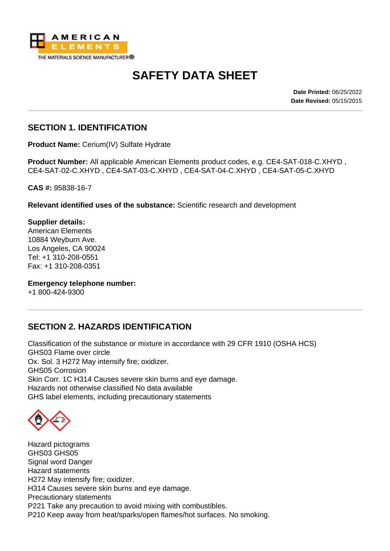

# **SAFETY DATA SHEET**

**Date Printed:** 06/25/2022 **Date Revised:** 05/15/2015

## **SECTION 1. IDENTIFICATION**

**Product Name:** Cerium(IV) Sulfate Hydrate

**Product Number:** All applicable American Elements product codes, e.g. CE4-SAT-018-C.XHYD , CE4-SAT-02-C.XHYD , CE4-SAT-03-C.XHYD , CE4-SAT-04-C.XHYD , CE4-SAT-05-C.XHYD

**CAS #:** 95838-16-7

**Relevant identified uses of the substance:** Scientific research and development

**Supplier details:** American Elements 10884 Weyburn Ave. Los Angeles, CA 90024 Tel: +1 310-208-0551 Fax: +1 310-208-0351

**Emergency telephone number:**

+1 800-424-9300

#### **SECTION 2. HAZARDS IDENTIFICATION**

Classification of the substance or mixture in accordance with 29 CFR 1910 (OSHA HCS) GHS03 Flame over circle Ox. Sol. 3 H272 May intensify fire; oxidizer. GHS05 Corrosion Skin Corr. 1C H314 Causes severe skin burns and eye damage. Hazards not otherwise classified No data available GHS label elements, including precautionary statements

Hazard pictograms GHS03 GHS05 Signal word Danger Hazard statements H272 May intensify fire; oxidizer. H314 Causes severe skin burns and eye damage. Precautionary statements P221 Take any precaution to avoid mixing with combustibles. P210 Keep away from heat/sparks/open flames/hot surfaces. No smoking.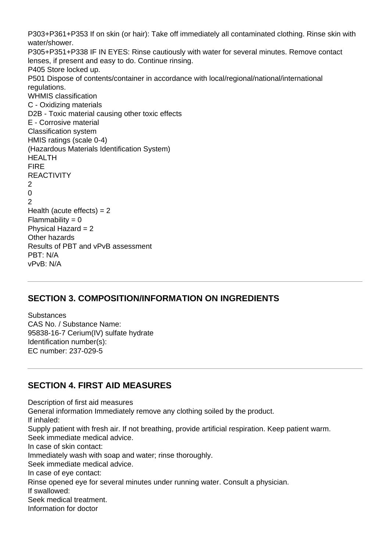P303+P361+P353 If on skin (or hair): Take off immediately all contaminated clothing. Rinse skin with water/shower. P305+P351+P338 IF IN EYES: Rinse cautiously with water for several minutes. Remove contact lenses, if present and easy to do. Continue rinsing. P405 Store locked up. P501 Dispose of contents/container in accordance with local/regional/national/international regulations. WHMIS classification C - Oxidizing materials D2B - Toxic material causing other toxic effects E - Corrosive material Classification system HMIS ratings (scale 0-4) (Hazardous Materials Identification System) HEALTH FIRE **REACTIVITY**  $\mathfrak{D}$  $\Omega$ 2 Health (acute effects)  $= 2$  $Flammability = 0$ Physical Hazard  $= 2$ Other hazards Results of PBT and vPvB assessment PBT: N/A vPvB: N/A

# **SECTION 3. COMPOSITION/INFORMATION ON INGREDIENTS**

**Substances** CAS No. / Substance Name: 95838-16-7 Cerium(IV) sulfate hydrate Identification number(s): EC number: 237-029-5

# **SECTION 4. FIRST AID MEASURES**

Description of first aid measures General information Immediately remove any clothing soiled by the product. If inhaled: Supply patient with fresh air. If not breathing, provide artificial respiration. Keep patient warm. Seek immediate medical advice. In case of skin contact: Immediately wash with soap and water; rinse thoroughly. Seek immediate medical advice. In case of eye contact: Rinse opened eye for several minutes under running water. Consult a physician. If swallowed: Seek medical treatment. Information for doctor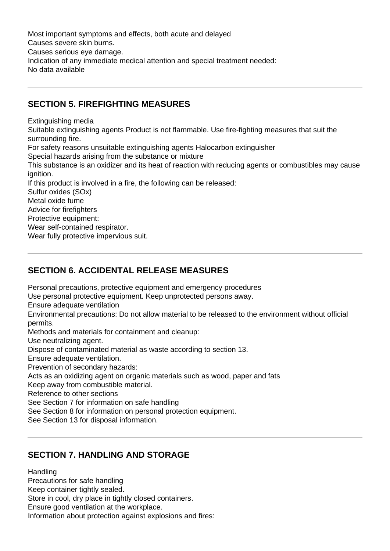Most important symptoms and effects, both acute and delayed Causes severe skin burns. Causes serious eye damage. Indication of any immediate medical attention and special treatment needed: No data available

#### **SECTION 5. FIREFIGHTING MEASURES**

Extinguishing media

Suitable extinguishing agents Product is not flammable. Use fire-fighting measures that suit the surrounding fire. For safety reasons unsuitable extinguishing agents Halocarbon extinguisher Special hazards arising from the substance or mixture

This substance is an oxidizer and its heat of reaction with reducing agents or combustibles may cause ignition.

If this product is involved in a fire, the following can be released:

Sulfur oxides (SOx)

Metal oxide fume

Advice for firefighters

Protective equipment:

Wear self-contained respirator.

Wear fully protective impervious suit.

## **SECTION 6. ACCIDENTAL RELEASE MEASURES**

Personal precautions, protective equipment and emergency procedures

Use personal protective equipment. Keep unprotected persons away.

Ensure adequate ventilation

Environmental precautions: Do not allow material to be released to the environment without official permits.

Methods and materials for containment and cleanup:

Use neutralizing agent.

Dispose of contaminated material as waste according to section 13.

Ensure adequate ventilation.

Prevention of secondary hazards:

Acts as an oxidizing agent on organic materials such as wood, paper and fats

Keep away from combustible material.

Reference to other sections

See Section 7 for information on safe handling

See Section 8 for information on personal protection equipment.

See Section 13 for disposal information.

# **SECTION 7. HANDLING AND STORAGE**

**Handling** 

Precautions for safe handling Keep container tightly sealed.

Store in cool, dry place in tightly closed containers.

Ensure good ventilation at the workplace.

Information about protection against explosions and fires: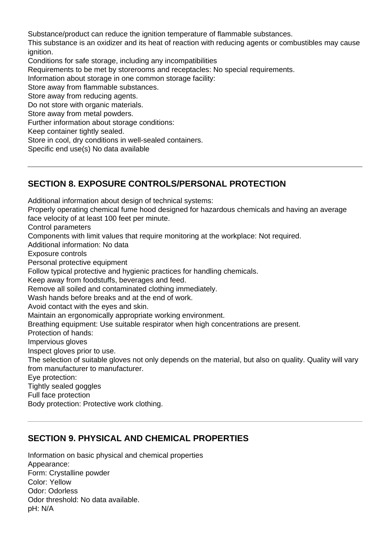Substance/product can reduce the ignition temperature of flammable substances.

This substance is an oxidizer and its heat of reaction with reducing agents or combustibles may cause ignition.

Conditions for safe storage, including any incompatibilities

Requirements to be met by storerooms and receptacles: No special requirements.

Information about storage in one common storage facility:

Store away from flammable substances.

Store away from reducing agents.

Do not store with organic materials.

Store away from metal powders.

Further information about storage conditions:

Keep container tightly sealed.

Store in cool, dry conditions in well-sealed containers.

Specific end use(s) No data available

#### **SECTION 8. EXPOSURE CONTROLS/PERSONAL PROTECTION**

Additional information about design of technical systems: Properly operating chemical fume hood designed for hazardous chemicals and having an average face velocity of at least 100 feet per minute. Control parameters Components with limit values that require monitoring at the workplace: Not required. Additional information: No data Exposure controls Personal protective equipment Follow typical protective and hygienic practices for handling chemicals. Keep away from foodstuffs, beverages and feed. Remove all soiled and contaminated clothing immediately. Wash hands before breaks and at the end of work. Avoid contact with the eyes and skin. Maintain an ergonomically appropriate working environment. Breathing equipment: Use suitable respirator when high concentrations are present. Protection of hands: Impervious gloves Inspect gloves prior to use. The selection of suitable gloves not only depends on the material, but also on quality. Quality will vary from manufacturer to manufacturer. Eye protection: Tightly sealed goggles Full face protection Body protection: Protective work clothing.

#### **SECTION 9. PHYSICAL AND CHEMICAL PROPERTIES**

Information on basic physical and chemical properties Appearance: Form: Crystalline powder Color: Yellow Odor: Odorless Odor threshold: No data available. pH: N/A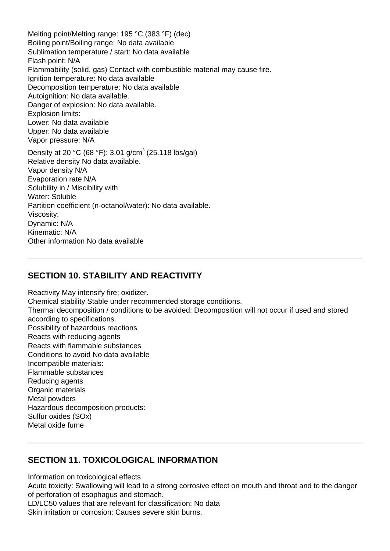Melting point/Melting range: 195 °C (383 °F) (dec) Boiling point/Boiling range: No data available Sublimation temperature / start: No data available Flash point: N/A Flammability (solid, gas) Contact with combustible material may cause fire. Ignition temperature: No data available Decomposition temperature: No data available Autoignition: No data available. Danger of explosion: No data available. Explosion limits: Lower: No data available Upper: No data available Vapor pressure: N/A Density at 20 °C (68 °F): 3.01 g/cm<sup>3</sup> (25.118 lbs/gal) Relative density No data available. Vapor density N/A Evaporation rate N/A Solubility in / Miscibility with Water: Soluble Partition coefficient (n-octanol/water): No data available. Viscosity: Dynamic: N/A Kinematic: N/A Other information No data available

#### **SECTION 10. STABILITY AND REACTIVITY**

Reactivity May intensify fire; oxidizer. Chemical stability Stable under recommended storage conditions. Thermal decomposition / conditions to be avoided: Decomposition will not occur if used and stored according to specifications. Possibility of hazardous reactions Reacts with reducing agents Reacts with flammable substances Conditions to avoid No data available Incompatible materials: Flammable substances Reducing agents Organic materials Metal powders Hazardous decomposition products: Sulfur oxides (SOx) Metal oxide fume

#### **SECTION 11. TOXICOLOGICAL INFORMATION**

Information on toxicological effects

Acute toxicity: Swallowing will lead to a strong corrosive effect on mouth and throat and to the danger of perforation of esophagus and stomach.

LD/LC50 values that are relevant for classification: No data

Skin irritation or corrosion: Causes severe skin burns.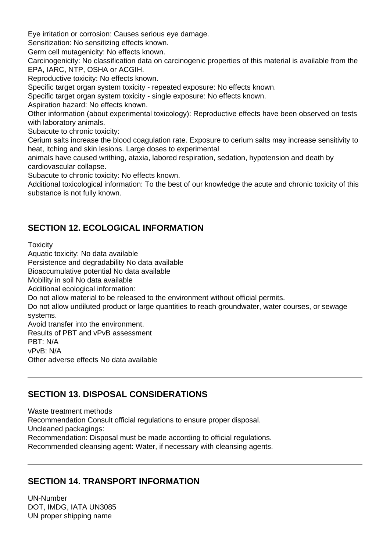Eye irritation or corrosion: Causes serious eye damage.

Sensitization: No sensitizing effects known.

Germ cell mutagenicity: No effects known.

Carcinogenicity: No classification data on carcinogenic properties of this material is available from the EPA, IARC, NTP, OSHA or ACGIH.

Reproductive toxicity: No effects known.

Specific target organ system toxicity - repeated exposure: No effects known.

Specific target organ system toxicity - single exposure: No effects known.

Aspiration hazard: No effects known.

Other information (about experimental toxicology): Reproductive effects have been observed on tests with laboratory animals.

Subacute to chronic toxicity:

Cerium salts increase the blood coagulation rate. Exposure to cerium salts may increase sensitivity to heat, itching and skin lesions. Large doses to experimental

animals have caused writhing, ataxia, labored respiration, sedation, hypotension and death by cardiovascular collapse.

Subacute to chronic toxicity: No effects known.

Additional toxicological information: To the best of our knowledge the acute and chronic toxicity of this substance is not fully known.

## **SECTION 12. ECOLOGICAL INFORMATION**

**Toxicity** 

Aquatic toxicity: No data available Persistence and degradability No data available

Bioaccumulative potential No data available

Mobility in soil No data available

Additional ecological information:

Do not allow material to be released to the environment without official permits.

Do not allow undiluted product or large quantities to reach groundwater, water courses, or sewage systems.

Avoid transfer into the environment.

Results of PBT and vPvB assessment

PBT: N/A

vPvB: N/A

Other adverse effects No data available

# **SECTION 13. DISPOSAL CONSIDERATIONS**

Waste treatment methods Recommendation Consult official regulations to ensure proper disposal. Uncleaned packagings: Recommendation: Disposal must be made according to official regulations. Recommended cleansing agent: Water, if necessary with cleansing agents.

# **SECTION 14. TRANSPORT INFORMATION**

UN-Number DOT, IMDG, IATA UN3085 UN proper shipping name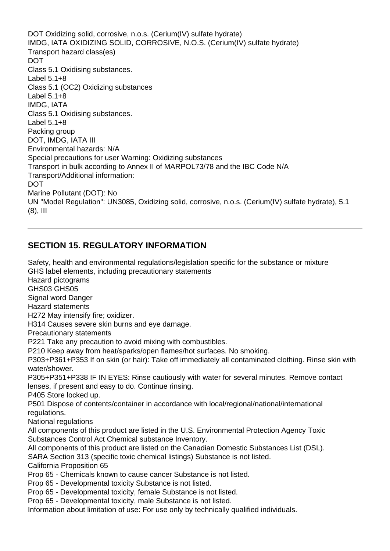DOT Oxidizing solid, corrosive, n.o.s. (Cerium(IV) sulfate hydrate) IMDG, IATA OXIDIZING SOLID, CORROSIVE, N.O.S. (Cerium(IV) sulfate hydrate) Transport hazard class(es) DOT Class 5.1 Oxidising substances. Label 5.1+8 Class 5.1 (OC2) Oxidizing substances Label 5.1+8 IMDG, IATA Class 5.1 Oxidising substances. Label 5.1+8 Packing group DOT, IMDG, IATA III Environmental hazards: N/A Special precautions for user Warning: Oxidizing substances Transport in bulk according to Annex II of MARPOL73/78 and the IBC Code N/A Transport/Additional information: **DOT** Marine Pollutant (DOT): No UN "Model Regulation": UN3085, Oxidizing solid, corrosive, n.o.s. (Cerium(IV) sulfate hydrate), 5.1 (8), III

# **SECTION 15. REGULATORY INFORMATION**

Safety, health and environmental regulations/legislation specific for the substance or mixture GHS label elements, including precautionary statements Hazard pictograms GHS03 GHS05 Signal word Danger Hazard statements H272 May intensify fire; oxidizer. H314 Causes severe skin burns and eye damage. Precautionary statements P221 Take any precaution to avoid mixing with combustibles. P210 Keep away from heat/sparks/open flames/hot surfaces. No smoking. P303+P361+P353 If on skin (or hair): Take off immediately all contaminated clothing. Rinse skin with water/shower. P305+P351+P338 IF IN EYES: Rinse cautiously with water for several minutes. Remove contact lenses, if present and easy to do. Continue rinsing. P405 Store locked up. P501 Dispose of contents/container in accordance with local/regional/national/international regulations. National regulations All components of this product are listed in the U.S. Environmental Protection Agency Toxic Substances Control Act Chemical substance Inventory. All components of this product are listed on the Canadian Domestic Substances List (DSL). SARA Section 313 (specific toxic chemical listings) Substance is not listed. California Proposition 65 Prop 65 - Chemicals known to cause cancer Substance is not listed. Prop 65 - Developmental toxicity Substance is not listed. Prop 65 - Developmental toxicity, female Substance is not listed. Prop 65 - Developmental toxicity, male Substance is not listed. Information about limitation of use: For use only by technically qualified individuals.